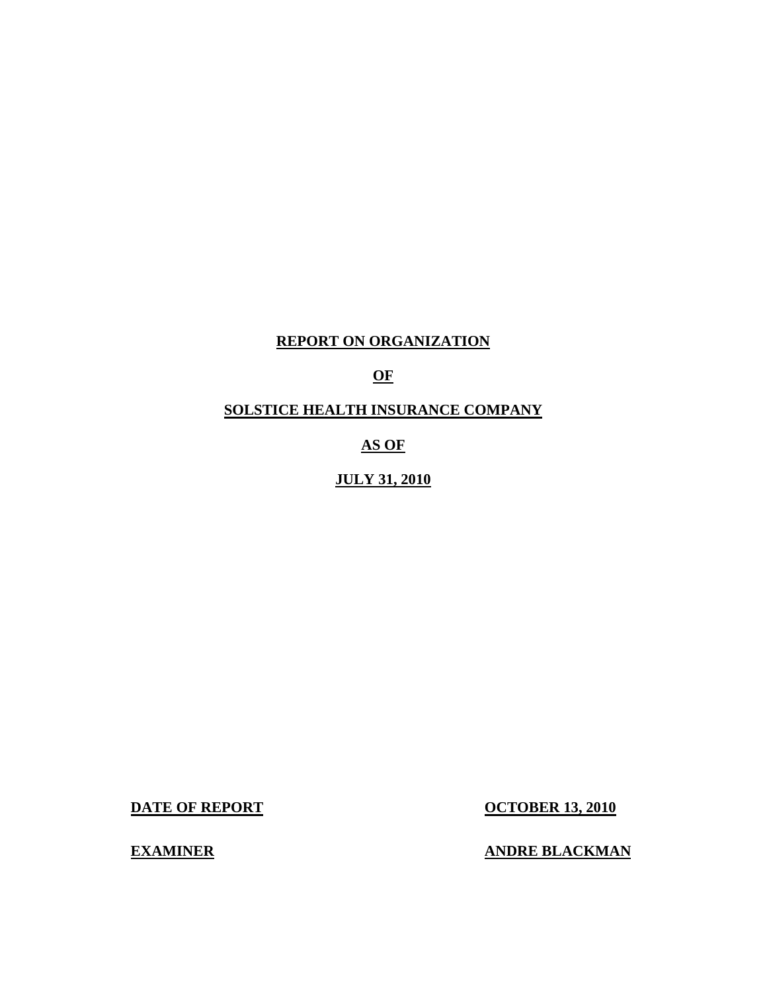## **REPORT ON ORGANIZATION**

## **OF**

## **SOLSTICE HEALTH INSURANCE COMPANY**

## **AS OF**

## **JULY 31, 2010**

**DATE OF REPORT CONTRACT CONTRACT CONTRACT CONTRACT CONTRACT OCTOBER 13, 2010** 

**EXAMINER ANDRE BLACKMAN**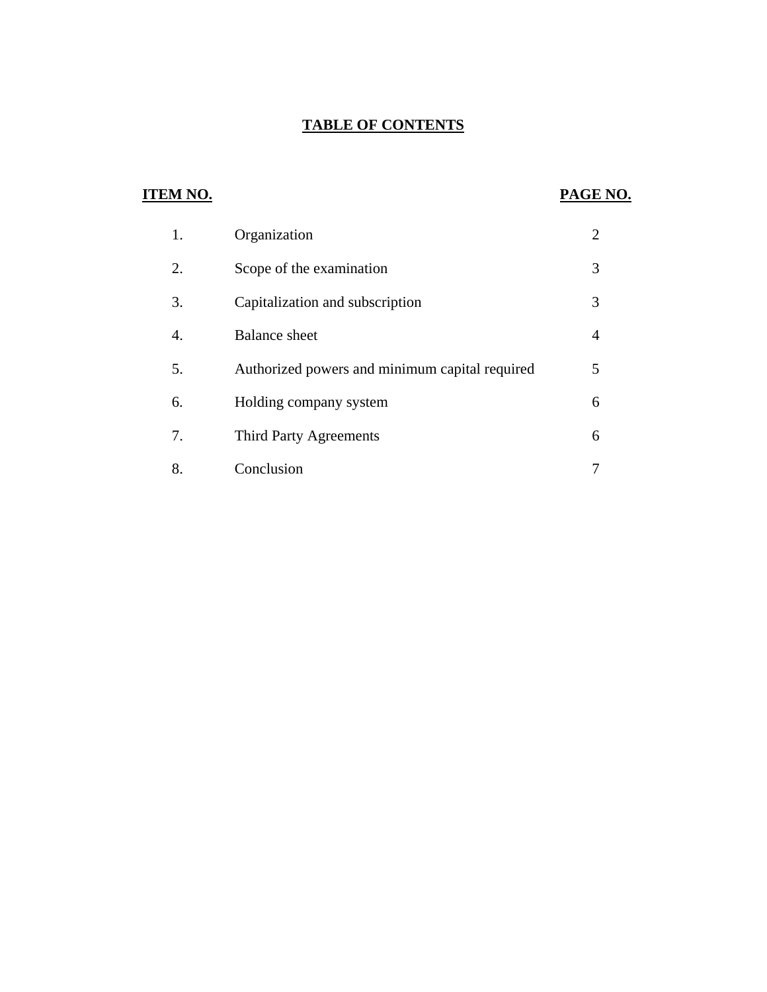## **TABLE OF CONTENTS**

## **ITEM NO.**

## **PAGE NO.**

| 1. | Organization                                   | $\overline{2}$ |
|----|------------------------------------------------|----------------|
| 2. | Scope of the examination                       | 3              |
| 3. | Capitalization and subscription                | 3              |
| 4. | <b>Balance</b> sheet                           | 4              |
| 5. | Authorized powers and minimum capital required | 5              |
| 6. | Holding company system                         | 6              |
| 7. | <b>Third Party Agreements</b>                  | 6              |
| 8. | Conclusion                                     |                |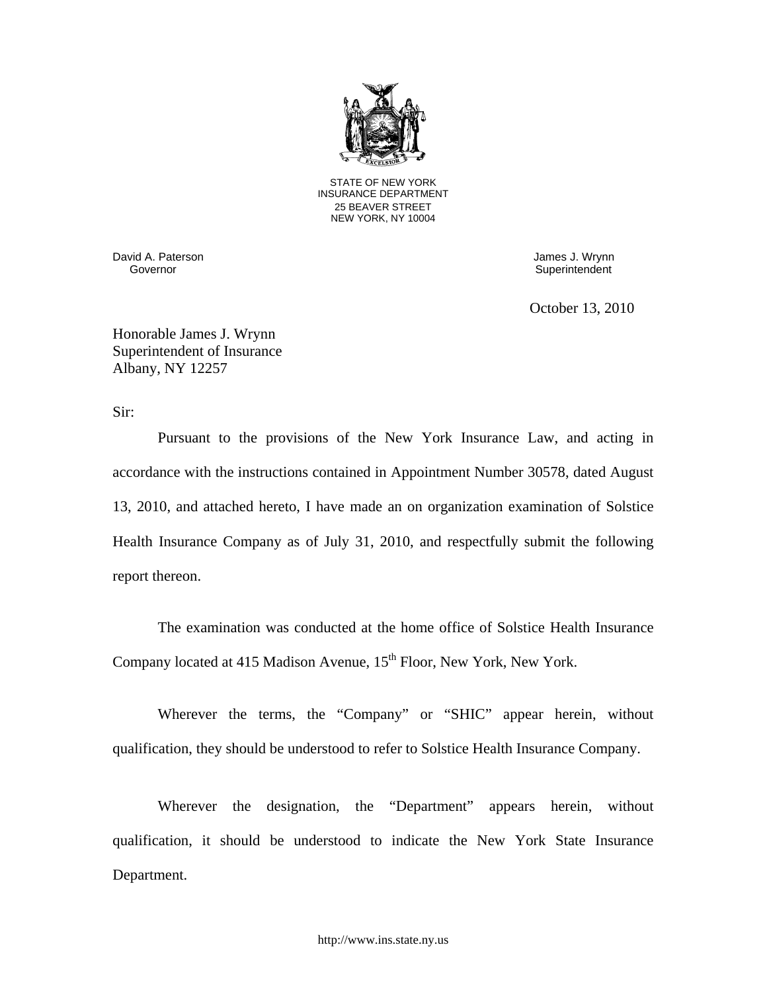

STATE OF NEW YORK INSURANCE DEPARTMENT 25 BEAVER STREET NEW YORK, NY 10004

David A. Paterson James J. Wrynn

Superintendent

October 13, 2010

Honorable James J. Wrynn Superintendent of Insurance Albany, NY 12257

Sir:

Pursuant to the provisions of the New York Insurance Law, and acting in accordance with the instructions contained in Appointment Number 30578, dated August 13, 2010, and attached hereto, I have made an on organization examination of Solstice Health Insurance Company as of July 31, 2010, and respectfully submit the following report thereon.

The examination was conducted at the home office of Solstice Health Insurance Company located at 415 Madison Avenue,  $15<sup>th</sup>$  Floor, New York, New York.

Wherever the terms, the "Company" or "SHIC" appear herein, without qualification, they should be understood to refer to Solstice Health Insurance Company.

Wherever the designation, the "Department" appears herein, without qualification, it should be understood to indicate the New York State Insurance Department.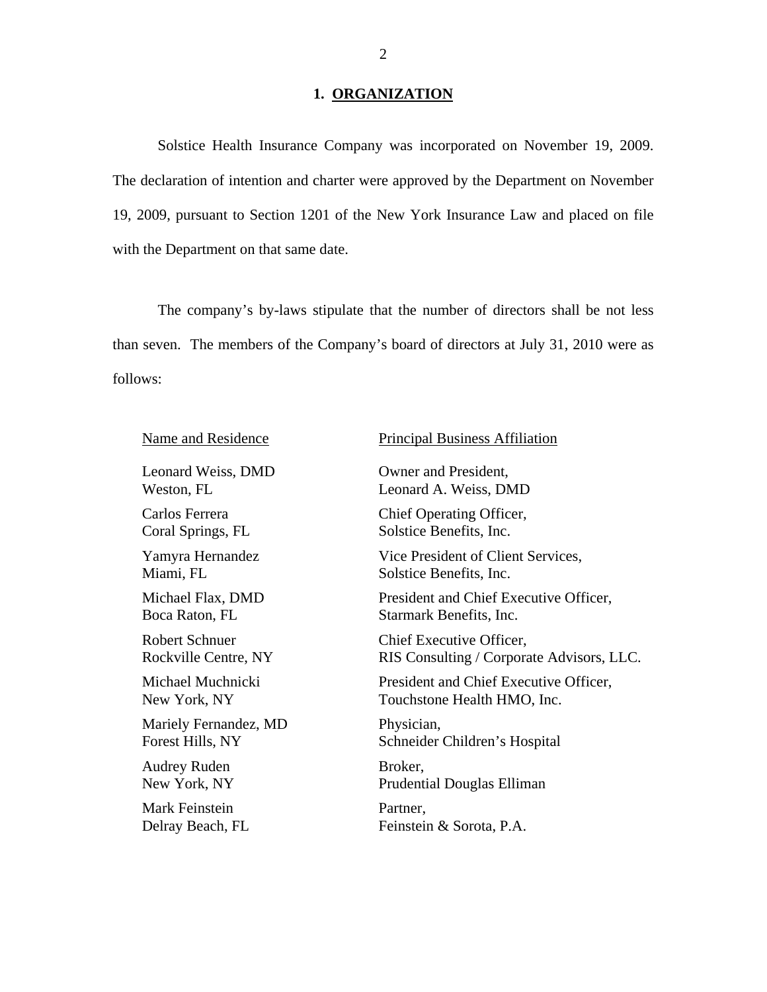## 1. ORGANIZATION

Solstice Health Insurance Company was incorporated on November 19, 2009. The declaration of intention and charter were approved by the Department on November 19, 2009, pursuant to Section 1201 of the New York Insurance Law and placed on file with the Department on that same date.

The company's by-laws stipulate that the number of directors shall be not less than seven. The members of the Company's board of directors at July 31, 2010 were as follows:

| <b>Name and Residence</b> | <b>Principal Business Affiliation</b>     |
|---------------------------|-------------------------------------------|
| Leonard Weiss, DMD        | Owner and President,                      |
| Weston, FL                | Leonard A. Weiss, DMD                     |
| Carlos Ferrera            | Chief Operating Officer,                  |
| Coral Springs, FL         | Solstice Benefits, Inc.                   |
| Yamyra Hernandez          | Vice President of Client Services,        |
| Miami, FL                 | Solstice Benefits, Inc.                   |
| Michael Flax, DMD         | President and Chief Executive Officer,    |
| Boca Raton, FL            | Starmark Benefits, Inc.                   |
| <b>Robert Schnuer</b>     | Chief Executive Officer,                  |
| Rockville Centre, NY      | RIS Consulting / Corporate Advisors, LLC. |
| Michael Muchnicki         | President and Chief Executive Officer,    |
| New York, NY              | Touchstone Health HMO, Inc.               |
| Mariely Fernandez, MD     | Physician,                                |
| Forest Hills, NY          | Schneider Children's Hospital             |
| Audrey Ruden              | Broker,                                   |
| New York, NY              | Prudential Douglas Elliman                |
| Mark Feinstein            | Partner,                                  |
| Delray Beach, FL          | Feinstein & Sorota, P.A.                  |
|                           |                                           |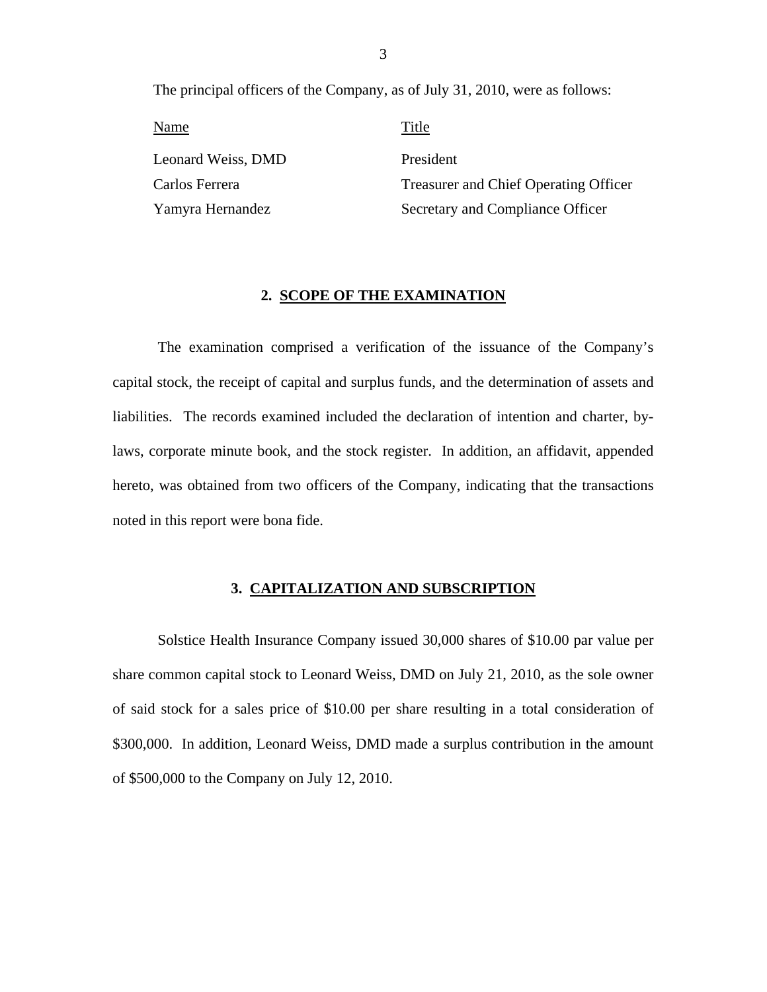The principal officers of the Company, as of July 31, 2010, were as follows:

Name Title Leonard Weiss, DMD Carlos Ferrera Yamyra Hernandez

President Treasurer and Chief Operating Officer Secretary and Compliance Officer

### **2. SCOPE OF THE EXAMINATION**

The examination comprised a verification of the issuance of the Company's capital stock, the receipt of capital and surplus funds, and the determination of assets and liabilities. The records examined included the declaration of intention and charter, bylaws, corporate minute book, and the stock register. In addition, an affidavit, appended hereto, was obtained from two officers of the Company, indicating that the transactions noted in this report were bona fide.

### **3. CAPITALIZATION AND SUBSCRIPTION**

Solstice Health Insurance Company issued 30,000 shares of \$10.00 par value per share common capital stock to Leonard Weiss, DMD on July 21, 2010, as the sole owner of said stock for a sales price of \$10.00 per share resulting in a total consideration of \$300,000. In addition, Leonard Weiss, DMD made a surplus contribution in the amount of \$500,000 to the Company on July 12, 2010.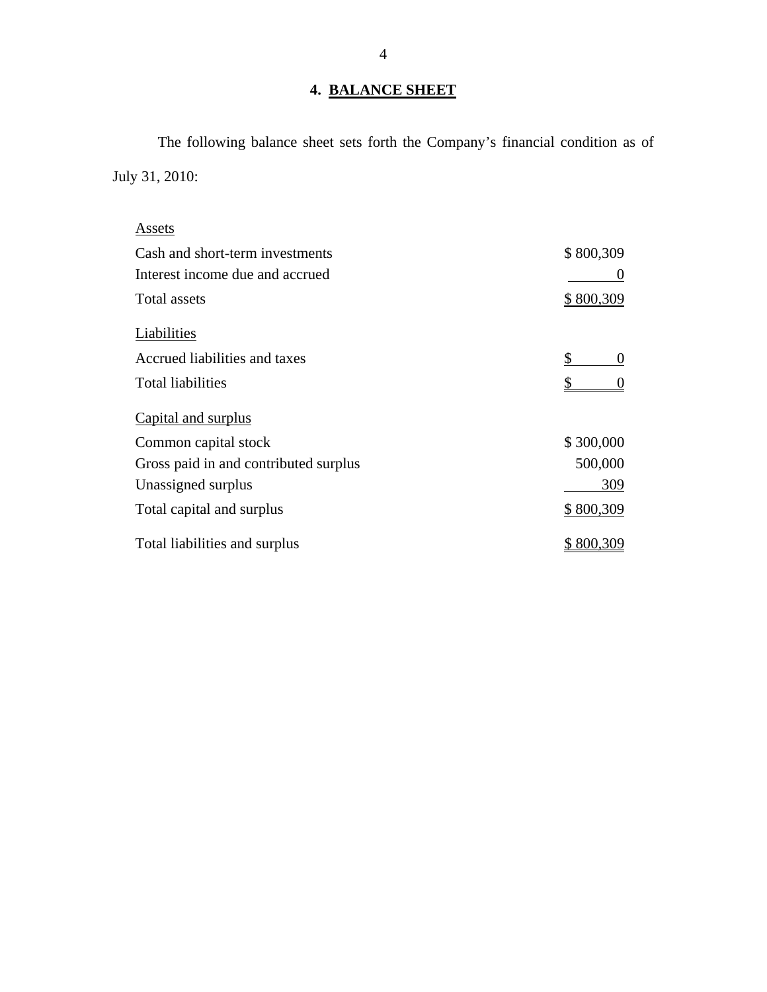## **4. BALANCE SHEET**

The following balance sheet sets forth the Company's financial condition as of July 31, 2010:

| Assets                                |                  |
|---------------------------------------|------------------|
| Cash and short-term investments       | \$800,309        |
| Interest income due and accrued       | $\theta$         |
| Total assets                          | <u>\$800,309</u> |
| Liabilities                           |                  |
| Accrued liabilities and taxes         | \$<br>$\theta$   |
| <b>Total liabilities</b>              | $\Omega$         |
| Capital and surplus                   |                  |
| Common capital stock                  | \$300,000        |
| Gross paid in and contributed surplus | 500,000          |
| Unassigned surplus                    | 309              |
| Total capital and surplus             | \$800,309        |
| Total liabilities and surplus         | 800,309          |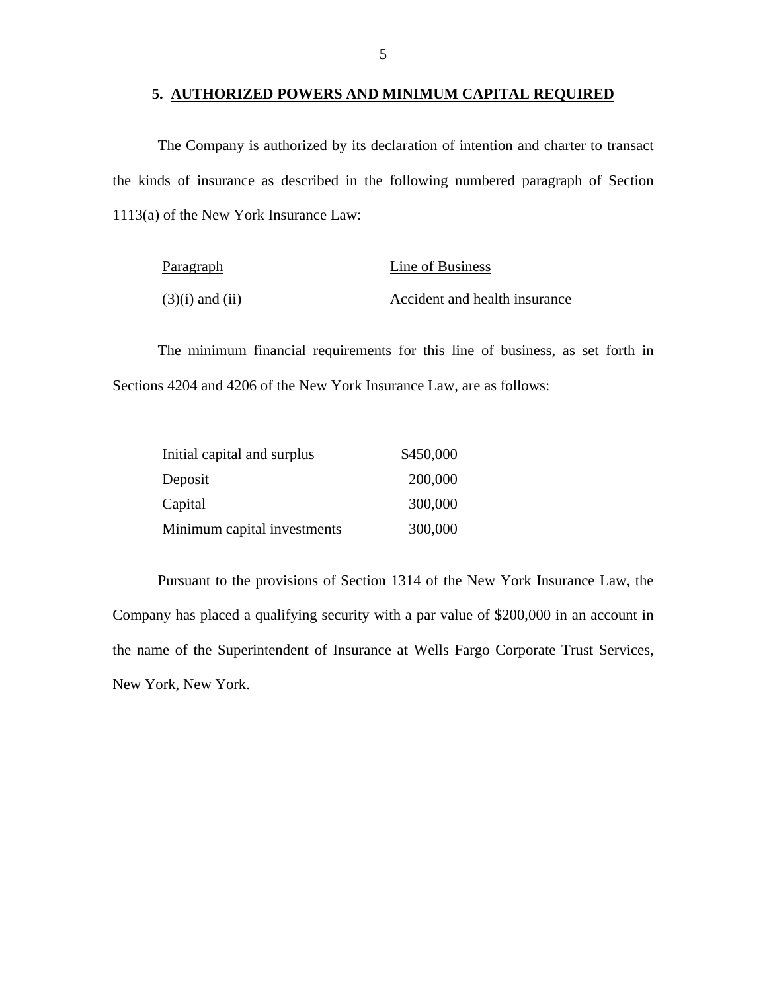### **5. AUTHORIZED POWERS AND MINIMUM CAPITAL REQUIRED**

The Company is authorized by its declaration of intention and charter to transact the kinds of insurance as described in the following numbered paragraph of Section 1113(a) of the New York Insurance Law:

| Paragraph           | Line of Business              |
|---------------------|-------------------------------|
| $(3)(i)$ and $(ii)$ | Accident and health insurance |

The minimum financial requirements for this line of business, as set forth in Sections 4204 and 4206 of the New York Insurance Law, are as follows:

| Initial capital and surplus | \$450,000 |
|-----------------------------|-----------|
| Deposit                     | 200,000   |
| Capital                     | 300,000   |
| Minimum capital investments | 300,000   |

Pursuant to the provisions of Section 1314 of the New York Insurance Law, the Company has placed a qualifying security with a par value of \$200,000 in an account in the name of the Superintendent of Insurance at Wells Fargo Corporate Trust Services, New York, New York.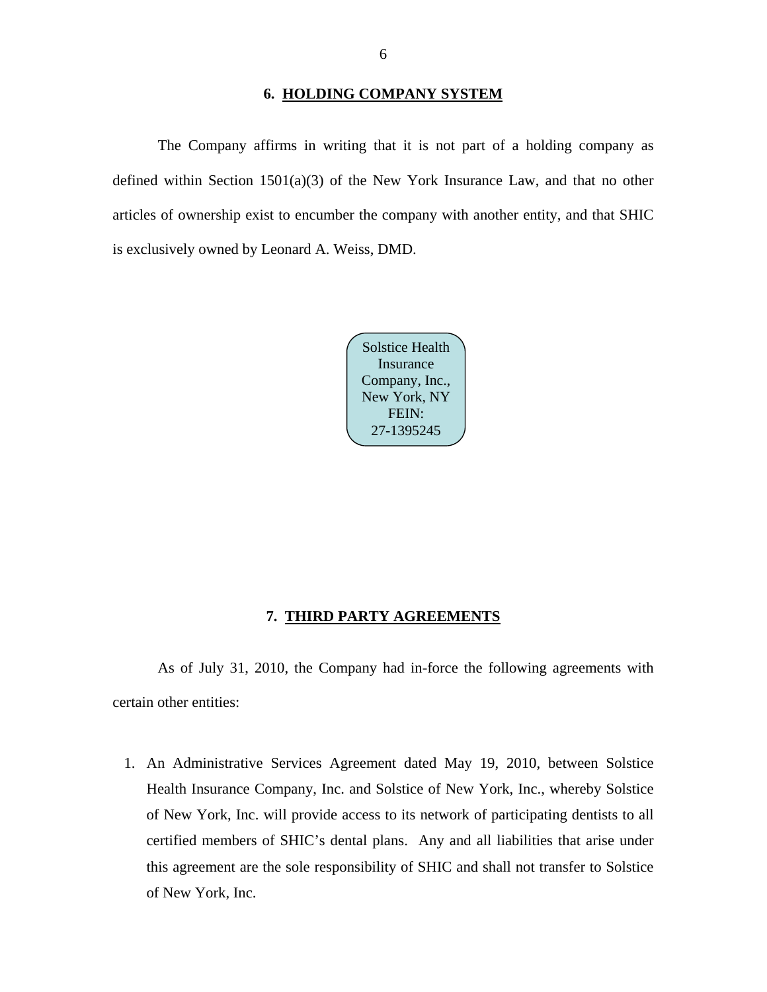### **6. HOLDING COMPANY SYSTEM**

<span id="page-7-0"></span>The Company affirms in writing that it is not part of a holding company as defined within Section  $1501(a)(3)$  of the New York Insurance Law, and that no other articles of ownership exist to encumber the company with another entity, and that SHIC is exclusively owned by Leonard A. Weiss, DMD.



### **7. THIRD PARTY AGREEMENTS**

As of July 31, 2010, the Company had in-force the following agreements with certain other entities:

1. An Administrative Services Agreement dated May 19, 2010, between Solstice Health Insurance Company, Inc. and Solstice of New York, Inc., whereby Solstice of New York, Inc. will provide access to its network of participating dentists to all certified members of SHIC's dental plans. Any and all liabilities that arise under this agreement are the sole responsibility of SHIC and shall not transfer to Solstice of New York, Inc.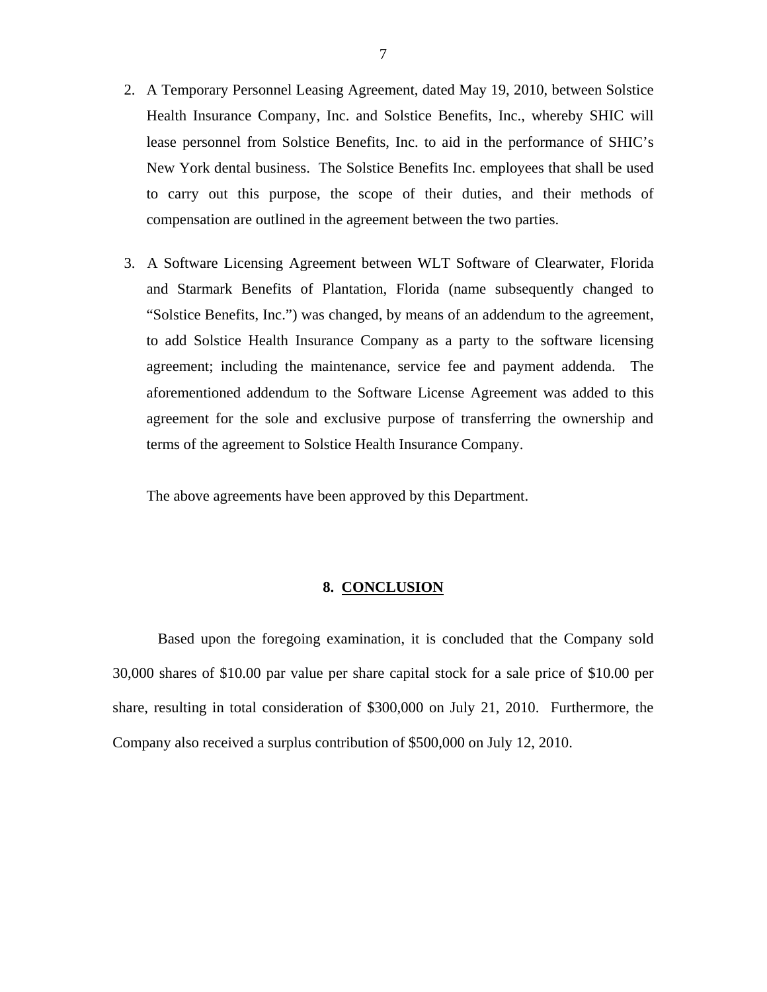- <span id="page-8-0"></span>2. A Temporary Personnel Leasing Agreement, dated May 19, 2010, between Solstice Health Insurance Company, Inc. and Solstice Benefits, Inc., whereby SHIC will lease personnel from Solstice Benefits, Inc. to aid in the performance of SHIC's New York dental business. The Solstice Benefits Inc. employees that shall be used to carry out this purpose, the scope of their duties, and their methods of compensation are outlined in the agreement between the two parties.
- 3. A Software Licensing Agreement between WLT Software of Clearwater, Florida and Starmark Benefits of Plantation, Florida (name subsequently changed to "Solstice Benefits, Inc.") was changed, by means of an addendum to the agreement, to add Solstice Health Insurance Company as a party to the software licensing agreement; including the maintenance, service fee and payment addenda. The aforementioned addendum to the Software License Agreement was added to this agreement for the sole and exclusive purpose of transferring the ownership and terms of the agreement to Solstice Health Insurance Company.

The above agreements have been approved by this Department.

### **8. CONCLUSION**

Based upon the foregoing examination, it is concluded that the Company sold 30,000 shares of \$10.00 par value per share capital stock for a sale price of \$10.00 per share, resulting in total consideration of \$300,000 on July 21, 2010. Furthermore, the Company also received a surplus contribution of \$500,000 on July 12, 2010.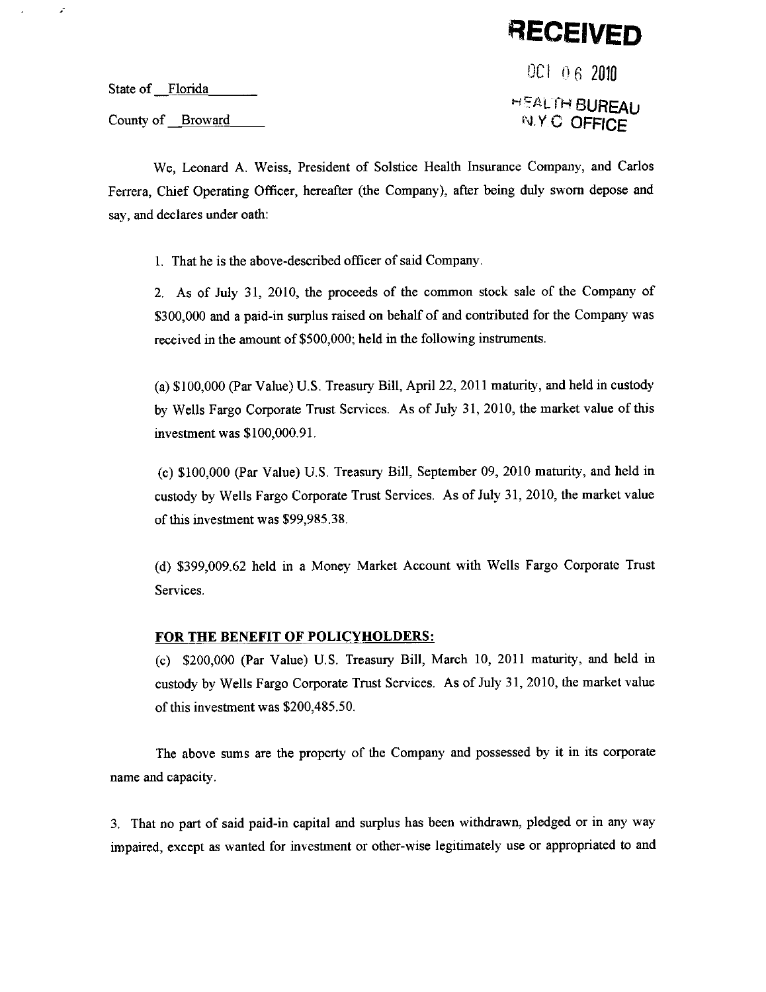**RECEIVED** 

State of Florida

 $\mathcal{L}$ 

County of Broward

OC1 06 2010 **HEALTH BUREAU N.Y.C. OFFICE** 

We, Leonard A. Weiss, President of Solstice Health Insurance Company, and Carlos Ferrera, Chief Operating Officer, hereafter (the Company), after being duly sworn depose and say, and declares under oath:

1. That he is the above-described officer of said Company.

2. As of July 31, 2010, the proceeds of the common stock sale of the Company of \$300,000 and a paid-in surplus raised on behalf of and contributed for the Company was received in the amount of \$500,000; held in the following instruments.

(a) \$100,000 (Par Value) U.S. Treasury Bill, April 22, 2011 maturity, and held in custody by Wells Fargo Corporate Trust Services. As of July 31, 2010, the market value of this investment was \$100,000.91.

(c) \$100,000 (Par Value) U.S. Treasury Bill, September 09, 2010 maturity, and held in custody by Wells Fargo Corporate Trust Services. As of July 31, 2010, the market value of this investment was \$99,985.38.

(d) \$399,009.62 held in a Money Market Account with Wells Fargo Corporate Trust Services.

#### FOR THE BENEFIT OF POLICYHOLDERS:

(c) \$200,000 (Par Value) U.S. Treasury Bill, March 10, 2011 maturity, and held in custody by Wells Fargo Corporate Trust Services. As of July 31, 2010, the market value of this investment was \$200,485.50.

The above sums are the property of the Company and possessed by it in its corporate name and capacity.

3. That no part of said paid-in capital and surplus has been withdrawn, pledged or in any way impaired, except as wanted for investment or other-wise legitimately use or appropriated to and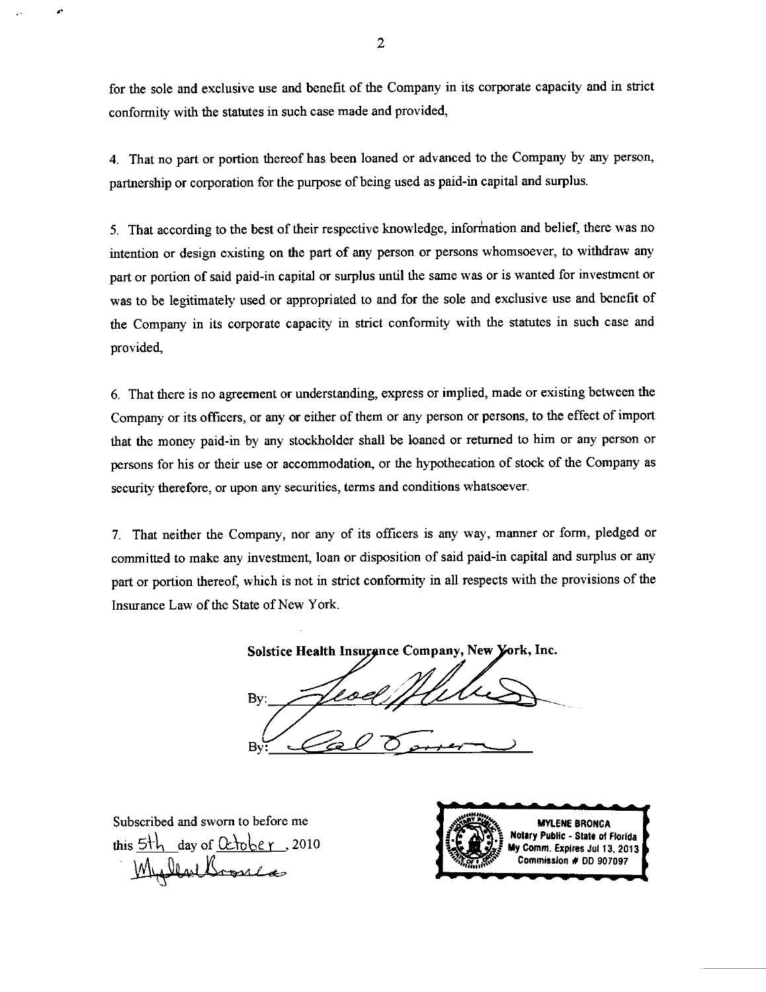for the sole and exclusive use and benefit of the Company in its corporate capacity and in strict conformity with the statutes in such case made and provided,

4. That no part or portion thereof has been loaned or advanced to the Company by any person, partnership or corporation for the purpose of being used as paid-in capital and surplus.

5. That according to the best of their respective knowledge, information and belief, there was no intention or design existing on the part of any person or persons whomsoever, to withdraw any part or portion of said paid-in capital or surplus until the same was or is wanted for investment or was to be legitimately used or appropriated to and for the sole and exclusive use and benefit of the Company in its corporate capacity in strict conformity with the statutes in such case and provided.

6. That there is no agreement or understanding, express or implied, made or existing between the Company or its officers, or any or either of them or any person or persons, to the effect of import that the money paid-in by any stockholder shall be loaned or returned to him or any person or persons for his or their use or accommodation, or the hypothecation of stock of the Company as security therefore, or upon any securities, terms and conditions whatsoever.

7. That neither the Company, nor any of its officers is any way, manner or form, pledged or committed to make any investment, loan or disposition of said paid-in capital and surplus or any part or portion thereof, which is not in strict conformity in all respects with the provisions of the Insurance Law of the State of New York.

Solstice Health Insurance Company, New York, Inc.

By B۱

Subscribed and sworn to before me this 5th day of  $\alpha$  to be r, 2010 MullaeBronca